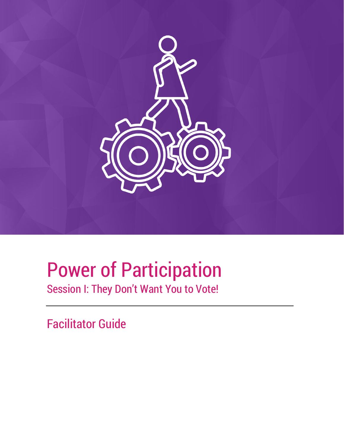

# Power of Participation

Session I: They Don't Want You to Vote!

Facilitator Guide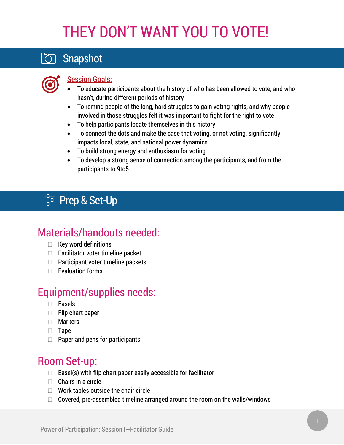# THEY DON'T WANT YOU TO VOTE!

## Snapshot



### **Session Goals:**

- To educate participants about the history of who has been allowed to vote, and who hasn't, during different periods of history
- To remind people of the long, hard struggles to gain voting rights, and why people involved in those struggles felt it was important to fight for the right to vote
- To help participants locate themselves in this history
- To connect the dots and make the case that voting, or not voting, significantly impacts local, state, and national power dynamics
- To build strong energy and enthusiasm for voting
- To develop a strong sense of connection among the participants, and from the participants to 9to5

## **卡IPrep & Set-Up**

## Materials/handouts needed:

- $\Box$  Key word definitions
- $\Box$  Facilitator voter timeline packet
- $\Box$  Participant voter timeline packets
- $\Box$  Evaluation forms

## Equipment/supplies needs:

- Easels
- $\Box$  Flip chart paper
- Markers
- **Tape**
- $\Box$  Paper and pens for participants

### Room Set-up:

- $\Box$  Easel(s) with flip chart paper easily accessible for facilitator
- $\Box$  Chairs in a circle
- $\Box$  Work tables outside the chair circle
- $\Box$  Covered, pre-assembled timeline arranged around the room on the walls/windows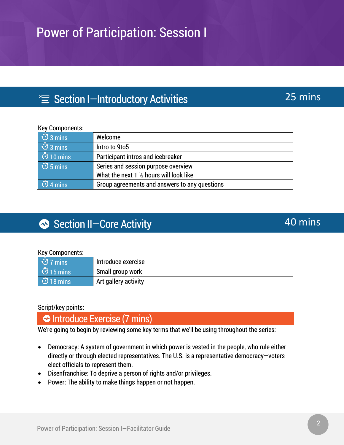## $\equiv$  Section I-Introductory Activities

### Key Components:

| $\overline{\circ}$ 3 mins  | Welcome                                       |
|----------------------------|-----------------------------------------------|
| $\overline{\circ}$ 3 mins  | Intro to 9to5                                 |
| $\overline{\circ}$ 10 mins | <b>Participant intros and icebreaker</b>      |
| $\overline{\circ}$ 5 mins  | Series and session purpose overview           |
|                            | What the next 1 1/2 hours will look like      |
| $\overline{\circ}$ 4 mins  | Group agreements and answers to any questions |

## Section II-Core Activity

### Key Components:

| $\vert$ $\dot{\bigcirc}$ 7 mins | Introduce exercise   |
|---------------------------------|----------------------|
| $\overline{\circ}$ 15 mins      | Small group work     |
| $\overline{O}$ 18 mins          | Art gallery activity |

### Script/key points:

Introduce Exercise (7 mins)

We're going to begin by reviewing some key terms that we'll be using throughout the series:

- Democracy: A system of government in which power is vested in the people, who rule either directly or through elected representatives. The U.S. is a representative democracy—voters elect officials to represent them.
- Disenfranchise: To deprive a person of rights and/or privileges.
- Power: The ability to make things happen or not happen.

### 25 mins

### 40 mins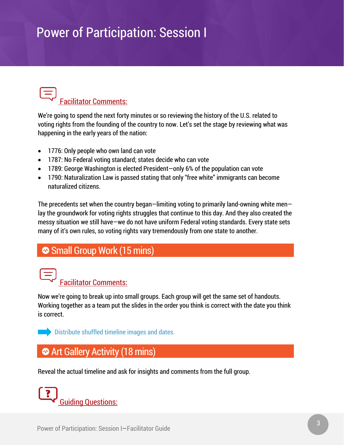# Facilitator Comments:

We're going to spend the next forty minutes or so reviewing the history of the U.S. related to voting rights from the founding of the country to now. Let's set the stage by reviewing what was happening in the early years of the nation:

- 1776: Only people who own land can vote
- 1787: No Federal voting standard; states decide who can vote
- 1789: George Washington is elected President—only 6% of the population can vote
- 1790: Naturalization Law is passed stating that only "free white" immigrants can become naturalized citizens.

The precedents set when the country began—limiting voting to primarily land-owning white men lay the groundwork for voting rights struggles that continue to this day. And they also created the messy situation we still have—we do not have uniform Federal voting standards. Every state sets many of it's own rules, so voting rights vary tremendously from one state to another.

### Small Group Work (15 mins)



Now we're going to break up into small groups. Each group will get the same set of handouts. Working together as a team put the slides in the order you think is correct with the date you think is correct.



Distribute shuffled timeline images and dates.

## Art Gallery Activity (18 mins)

Reveal the actual timeline and ask for insights and comments from the full group.

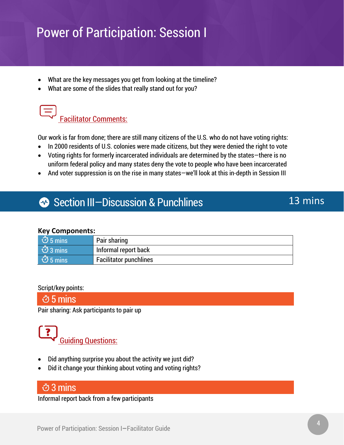- What are the key messages you get from looking at the timeline?
- What are some of the slides that really stand out for you?



Our work is far from done; there are still many citizens of the U.S. who do not have voting rights:

- In 2000 residents of U.S. colonies were made citizens, but they were denied the right to vote
- Voting rights for formerly incarcerated individuals are determined by the states—there is no uniform federal policy and many states deny the vote to people who have been incarcerated
- And voter suppression is on the rise in many states—we'll look at this in-depth in Session III

### Section III-Discussion & Punchlines

### **Key Components:**

| $\overline{\circ}$ 5 mins | Pair sharing                  |
|---------------------------|-------------------------------|
| $\overline{\circ}$ 3 mins | Informal report back          |
| $\overline{\circ}$ 5 mins | <b>Facilitator punchlines</b> |

### Script/key points:

### 5 mins

Pair sharing: Ask participants to pair up



- Did anything surprise you about the activity we just did?
- Did it change your thinking about voting and voting rights?

### 3 mins

Informal report back from a few participants

13 mins